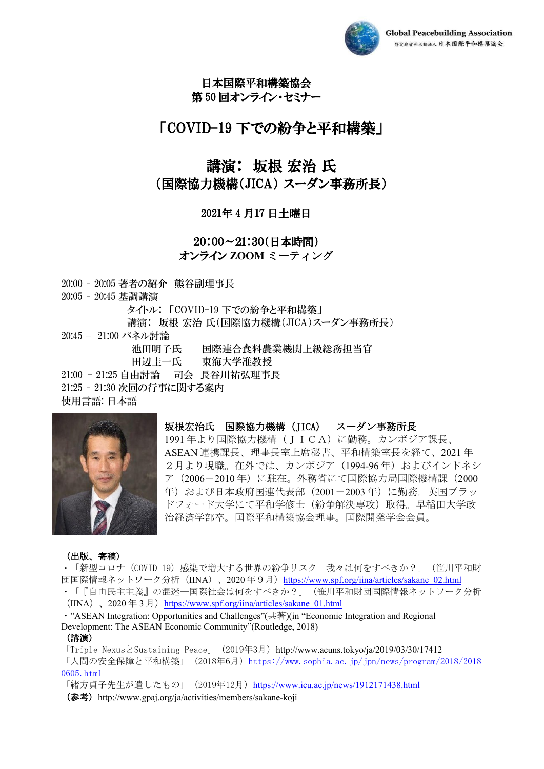

# 日本国際平和構築協会

第 50 回オンライン・セミナー

## 「COVID-19 下での紛争と平和構築」

## 講演: 坂根 宏治 氏

## (国際協力機構(JICA) スーダン事務所長)

### 2021年 4 月17 日土曜日

### 20:00~21:30(日本時間) オンライン **ZOOM** ミーティング

20:00 – 20:05 著者の紹介 熊谷副理事長

20:05 – 20:45 基調講演 タイトル: 「COVID-19 下での紛争と平和構築」

講演: 坂根 宏治 氏(国際協力機構(JICA)スーダン事務所長)

20:45 – 21:00 パネル討論

池田明子氏 国際連合食料農業機関上級総務担当官 田辺圭一氏 東海大学准教授

21:00 - 21:25 自由討論 司会 長谷川祐弘理事長

21:25 – 21:30 次回の行事に関する案内

使用言語: 日本語



#### 坂根宏治氏 国際協力機構(JICA) スーダン事務所長

1991 年より国際協力機構(JICA)に勤務。カンボジア課長、 ASEAN 連携課長、理事長室上席秘書、平和構築室長を経て、2021 年 2月より現職。在外では、カンボジア (1994-96年) およびインドネシ ア (2006-2010年)に駐在。外務省にて国際協力局国際機構課 (2000 年)および日本政府国連代表部(2001-2003 年)に勤務。英国ブラッ ドフォード大学にて平和学修士(紛争解決専攻)取得。早稲田大学政 治経済学部卒。国際平和構築協会理事。国際開発学会会員。

#### (出版、寄稿)

・「新型コロナ(COVID-19)感染で増大する世界の紛争リスク-我々は何をすべきか?」(笹川平和財 団国際情報ネットワーク分析 (IINA)、2020年9月) https://www.spf.org/iina/articles/sakane 02.html ・「『自由民主主義』の混迷―国際社会は何をすべきか?」(笹川平和財団国際情報ネットワーク分析

 $(IINA)$ , 2020年3月) https://www.spf.org/iina/articles/sakane 01.html

・"ASEAN Integration: Opportunities and Challenges"(共著)(in "Economic Integration and Regional Development: The ASEAN Economic Community"(Routledge, 2018)

#### (講演)

「Triple NexusとSustaining Peace」(2019年3月)http://www.acuns.tokyo/ja/2019/03/30/17412 「人間の安全保障と平和構築」(2018年6月[\)https://www.sophia.ac.jp/jpn/news/program/2018/2018](https://www.sophia.ac.jp/jpn/news/program/2018/20180605.html) [0605.html](https://www.sophia.ac.jp/jpn/news/program/2018/20180605.html)

「緒方貞子先生が遺したもの」 (2019年12月) <https://www.icu.ac.jp/news/1912171438.html> (参考) http://www.gpaj.org/ja/activities/members/sakane-koji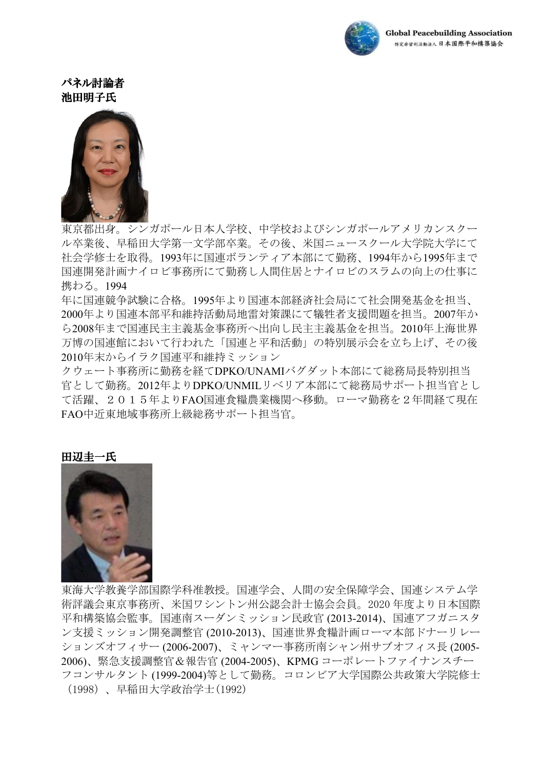

### パネル討論者 池田明子氏



東京都出身。シンガポール日本人学校、中学校およびシンガポールアメリカンスクー ル卒業後、早稲田大学第一文学部卒業。その後、米国ニュースクール大学院大学にて 社会学修士を取得。1993年に国連ボランティア本部にて勤務、1994年から1995年まで 国連開発計画ナイロビ事務所にて勤務し人間住居とナイロビのスラムの向上の仕事に 携わる。1994

年に国連競争試験に合格。1995年より国連本部経済社会局にて社会開発基金を担当、 2000年より国連本部平和維持活動局地雷対策課にて犠牲者支援問題を担当。2007年か ら2008年まで国連民主主義基金事務所へ出向し民主主義基金を担当。2010年上海世界 万博の国連館において行われた「国連と平和活動」の特別展示会を立ち上げ、その後 2010年末からイラク国連平和維持ミッション

クウェート事務所に勤務を経てDPKO/UNAMIバグダット本部にて総務局長特別担当 官として勤務。2012年よりDPKO/UNMILリベリア本部にて総務局サポート担当官とし て活躍、2015年よりFAO国連食糧農業機関へ移動。ローマ勤務を2年間経て現在 FAO中近東地域事務所上級総務サポート担当官。

#### 田辺圭一氏



東海大学教養学部国際学科准教授。国連学会、人間の安全保障学会、国連システム学 術評議会東京事務所、米国ワシントン州公認会計士協会会員。2020 年度より日本国際 平和構築協会監事。国連南スーダンミッション民政官 (2013-2014)、国連アフガニスタ ン支援ミッション開発調整官 (2010-2013)、国連世界食糧計画ローマ本部ドナーリレー ションズオフィサー (2006-2007)、ミャンマー事務所南シャン州サブオフィス長 (2005- 2006)、緊急支援調整官&報告官 (2004-2005)、KPMG コーポレートファイナンスチー フコンサルタント (1999-2004)等として勤務。コロンビア大学国際公共政策大学院修士 (1998)、早稲田大学政治学士(1992)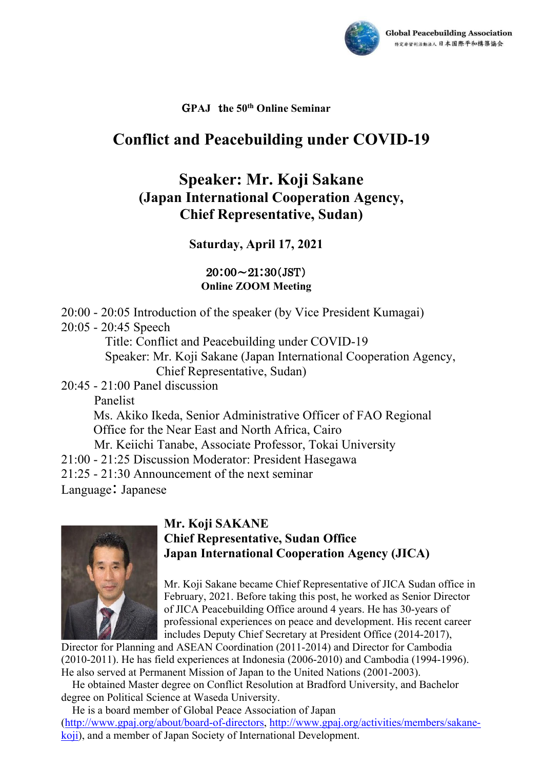

## G**PAJ** t**he 50th Online Seminar**

## **Conflict and Peacebuilding under COVID-19**

## **Speaker: Mr. Koji Sakane (Japan International Cooperation Agency, Chief Representative, Sudan)**

## **Saturday, April 17, 2021**

### $20:00 \sim 21:30(JST)$ **Online ZOOM Meeting**

20:00 - 20:05 Introduction of the speaker (by Vice President Kumagai) 20:05 - 20:45 Speech Title: Conflict and Peacebuilding under COVID-19 Speaker: Mr. Koji Sakane (Japan International Cooperation Agency, Chief Representative, Sudan) 20:45 - 21:00 Panel discussion Panelist Ms. Akiko Ikeda, Senior Administrative Officer of FAO Regional Office for the Near East and North Africa, Cairo Mr. Keiichi Tanabe, Associate Professor, Tokai University 21:00 - 21:25 Discussion Moderator: President Hasegawa 21:25 - 21:30 Announcement of the next seminar

Language: Japanese



## **Mr. Koji SAKANE Chief Representative, Sudan Office Japan International Cooperation Agency (JICA)**

Mr. Koji Sakane became Chief Representative of JICA Sudan office in February, 2021. Before taking this post, he worked as Senior Director of JICA Peacebuilding Office around 4 years. He has 30-years of professional experiences on peace and development. His recent career includes Deputy Chief Secretary at President Office (2014-2017),

Director for Planning and ASEAN Coordination (2011-2014) and Director for Cambodia (2010-2011). He has field experiences at Indonesia (2006-2010) and Cambodia (1994-1996). He also served at Permanent Mission of Japan to the United Nations (2001-2003).

He obtained Master degree on Conflict Resolution at Bradford University, and Bachelor degree on Political Science at Waseda University.

He is a board member of Global Peace Association of Japan [\(http://www.gpaj.org/about/board-of-directors,](http://www.gpaj.org/about/board-of-directors) [http://www.gpaj.org/activities/members/sakane](http://www.gpaj.org/activities/members/sakane-koji)[koji\)](http://www.gpaj.org/activities/members/sakane-koji), and a member of Japan Society of International Development.